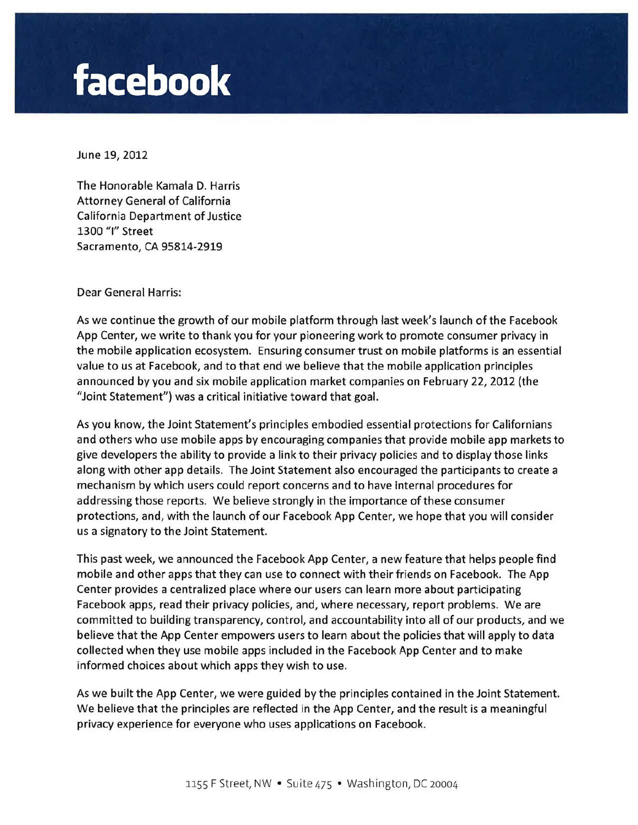## **facebook**

June 19, 2012

The Honorable Kamala D. Harris Attorney General of California California Department of Justice 1300 "I" Street Sacramento, CA 95814-2919

Dear General Harris:

As we continue the growth of our mobile platform through last week's launch of the Facebook App Center, we write to thank you for your pioneering work to promote consumer privacy in the mobile application ecosystem. Ensuring consumer trust on mobile platforms is an essential value to us at Facebook, and to that end we believe that the mobile application principles announced by you and six mobile application market companies on February 22, 2012 (the "Joint Statement") was a critical initiative toward that goal.

As you know, the Joint Statement's principles embodied essential protections for Californians and others who use mobile apps by encouraging companies that provide mobile app markets to give developers the ability to provide a link to their privacy policies and to display those links along with other app details. The Joint Statement also encouraged the participants to create a mechanism by which users could report concerns and to have internal procedures for addressing those reports. We believe strongly in the importance of these consumer protections, and, with the launch of our Facebook App Center, we hope that you will consider us a signatory to the Joint Statement.

This past week, we announced the Facebook App Center, a new feature that helps people find mobile and other apps that they can use to connect with their friends on Facebook. The App Center provides a centralized place where our users can learn more about participating Facebook apps, read their privacy policies, and, where necessary, report problems. We are committed to building transparency, control, and accountability into all of our products, and we believe that the App Center empowers users to learn about the policies that will apply to data collected when they use mobile apps included in the Facebook App Center and to make informed choices about which apps they wish to use.

As we built the App Center, we were guided by the principles contained in the Joint Statement. We believe that the principles are reflected in the App Center, and the result is a meaningful privacy experience for everyone who uses applications on Facebook.